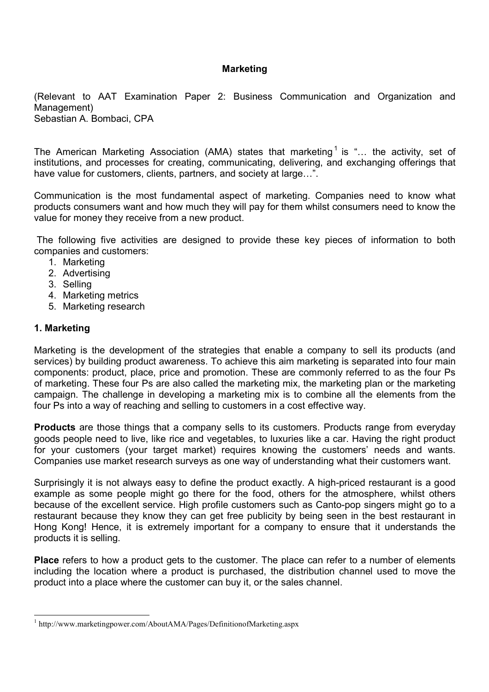### **Marketing**

(Relevant to AAT Examination Paper 2: Business Communication and Organization and Management) Sebastian A. Bombaci, CPA

The American Marketing Association (AMA) states that marketing<sup>1</sup> is "... the activity, set of institutions, and processes for creating, communicating, delivering, and exchanging offerings that have value for customers, clients, partners, and society at large...".

Communication is the most fundamental aspect of marketing. Companies need to know what products consumers want and how much they will pay for them whilst consumers need to know the value for money they receive from a new product.

 The following five activities are designed to provide these key pieces of information to both companies and customers:

- 1. Marketing
- 2. Advertising
- 3. Selling
- 4. Marketing metrics
- 5. Marketing research

### 1. Marketing

Marketing is the development of the strategies that enable a company to sell its products (and services) by building product awareness. To achieve this aim marketing is separated into four main components: product, place, price and promotion. These are commonly referred to as the four Ps of marketing. These four Ps are also called the marketing mix, the marketing plan or the marketing campaign. The challenge in developing a marketing mix is to combine all the elements from the four Ps into a way of reaching and selling to customers in a cost effective way.

**Products** are those things that a company sells to its customers. Products range from everyday goods people need to live, like rice and vegetables, to luxuries like a car. Having the right product for your customers (your target market) requires knowing the customers' needs and wants. Companies use market research surveys as one way of understanding what their customers want.

Surprisingly it is not always easy to define the product exactly. A high-priced restaurant is a good example as some people might go there for the food, others for the atmosphere, whilst others because of the excellent service. High profile customers such as Canto-pop singers might go to a restaurant because they know they can get free publicity by being seen in the best restaurant in Hong Kong! Hence, it is extremely important for a company to ensure that it understands the products it is selling.

**Place** refers to how a product gets to the customer. The place can refer to a number of elements including the location where a product is purchased, the distribution channel used to move the product into a place where the customer can buy it, or the sales channel.

<sup>-</sup><sup>1</sup> http://www.marketingpower.com/AboutAMA/Pages/DefinitionofMarketing.aspx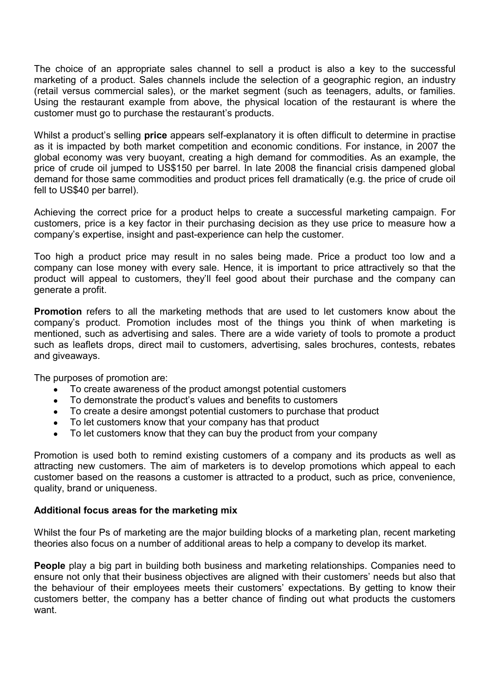The choice of an appropriate sales channel to sell a product is also a key to the successful marketing of a product. Sales channels include the selection of a geographic region, an industry (retail versus commercial sales), or the market segment (such as teenagers, adults, or families. Using the restaurant example from above, the physical location of the restaurant is where the customer must go to purchase the restaurant's products.

Whilst a product's selling **price** appears self-explanatory it is often difficult to determine in practise as it is impacted by both market competition and economic conditions. For instance, in 2007 the global economy was very buoyant, creating a high demand for commodities. As an example, the price of crude oil jumped to US\$150 per barrel. In late 2008 the financial crisis dampened global demand for those same commodities and product prices fell dramatically (e.g. the price of crude oil fell to US\$40 per barrel).

Achieving the correct price for a product helps to create a successful marketing campaign. For customers, price is a key factor in their purchasing decision as they use price to measure how a company's expertise, insight and past-experience can help the customer.

Too high a product price may result in no sales being made. Price a product too low and a company can lose money with every sale. Hence, it is important to price attractively so that the product will appeal to customers, they'll feel good about their purchase and the company can generate a profit.

Promotion refers to all the marketing methods that are used to let customers know about the company's product. Promotion includes most of the things you think of when marketing is mentioned, such as advertising and sales. There are a wide variety of tools to promote a product such as leaflets drops, direct mail to customers, advertising, sales brochures, contests, rebates and giveaways.

The purposes of promotion are:

- To create awareness of the product amongst potential customers
- To demonstrate the product's values and benefits to customers
- To create a desire amongst potential customers to purchase that product
- To let customers know that your company has that product
- To let customers know that they can buy the product from your company

Promotion is used both to remind existing customers of a company and its products as well as attracting new customers. The aim of marketers is to develop promotions which appeal to each customer based on the reasons a customer is attracted to a product, such as price, convenience, quality, brand or uniqueness.

#### Additional focus areas for the marketing mix

Whilst the four Ps of marketing are the major building blocks of a marketing plan, recent marketing theories also focus on a number of additional areas to help a company to develop its market.

People play a big part in building both business and marketing relationships. Companies need to ensure not only that their business objectives are aligned with their customers' needs but also that the behaviour of their employees meets their customers' expectations. By getting to know their customers better, the company has a better chance of finding out what products the customers want.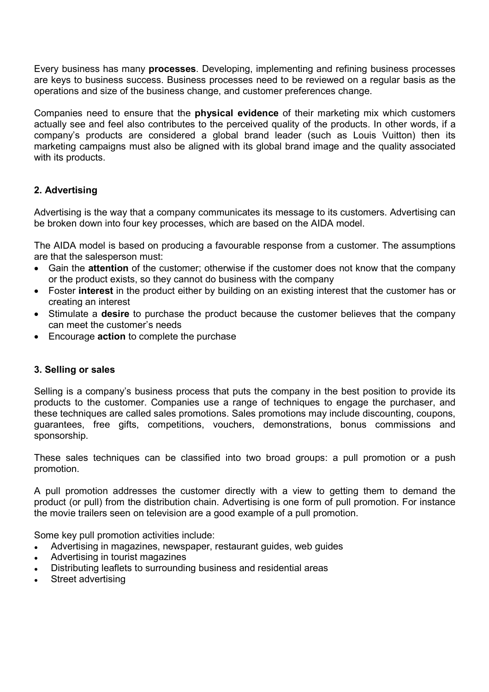Every business has many processes. Developing, implementing and refining business processes are keys to business success. Business processes need to be reviewed on a regular basis as the operations and size of the business change, and customer preferences change.

Companies need to ensure that the physical evidence of their marketing mix which customers actually see and feel also contributes to the perceived quality of the products. In other words, if a company's products are considered a global brand leader (such as Louis Vuitton) then its marketing campaigns must also be aligned with its global brand image and the quality associated with its products.

# 2. Advertising

Advertising is the way that a company communicates its message to its customers. Advertising can be broken down into four key processes, which are based on the AIDA model.

The AIDA model is based on producing a favourable response from a customer. The assumptions are that the salesperson must:

- Gain the attention of the customer; otherwise if the customer does not know that the company or the product exists, so they cannot do business with the company
- Foster interest in the product either by building on an existing interest that the customer has or creating an interest
- Stimulate a **desire** to purchase the product because the customer believes that the company can meet the customer's needs
- Encourage **action** to complete the purchase

# 3. Selling or sales

Selling is a company's business process that puts the company in the best position to provide its products to the customer. Companies use a range of techniques to engage the purchaser, and these techniques are called sales promotions. Sales promotions may include discounting, coupons, guarantees, free gifts, competitions, vouchers, demonstrations, bonus commissions and sponsorship.

These sales techniques can be classified into two broad groups: a pull promotion or a push promotion.

A pull promotion addresses the customer directly with a view to getting them to demand the product (or pull) from the distribution chain. Advertising is one form of pull promotion. For instance the movie trailers seen on television are a good example of a pull promotion.

Some key pull promotion activities include:

- Advertising in magazines, newspaper, restaurant guides, web guides
- Advertising in tourist magazines
- Distributing leaflets to surrounding business and residential areas
- Street advertising